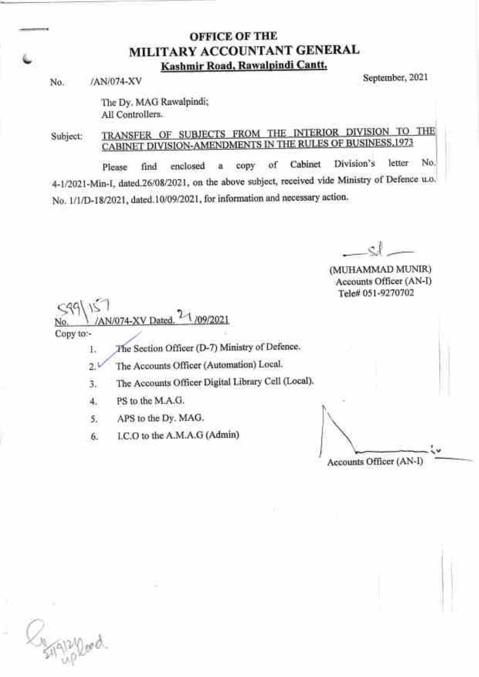# OFFICE OF THE MILITARY ACCOUNTANT GENERAL Kashmir Road, Rawalpindi Cantt.

No. /AN/074-XV September, 202l

The Dy. MAG Rawalpindi; All Controllers.

TRANSFER OF SUBJECTS FROM THE INTERIOR DIVISION TO THE Subject: CABINET DIVISION-AMENDMENTS IN THE RULES OF BUSINESS, 1973

Please find enclosed a copy of Cabinet Division's letter No 4-1/2021-Min-I, dated 26/08/2021, on the above subject, received vide Ministry of Defence u.o. No. 1/1/D-18/2021, dated.10/09/2021, for information and necessary action.

 $\mathfrak{e}^{\mathfrak{j}}$ -.-\_\_s"d

(MUHAMMAD MLINIR) Accounts Officer (AN-D Tele# 051-9270702

AN/074-XV Dated. <sup>2-1</sup>/09/2021

Copy to:-

I The Section Officer (D-7) Ministry of Defence.

2.1 The Accounts Officer (Automation) Local'

a J. The Accounts Officer Digital Library Cell (Local).

4. PS to the M.A.G.

5. APS to the Dy. MAG'

6. I.C.O to the A.M.A.G (Admin)

I Accounts Officer (AN-I)

Hyppaged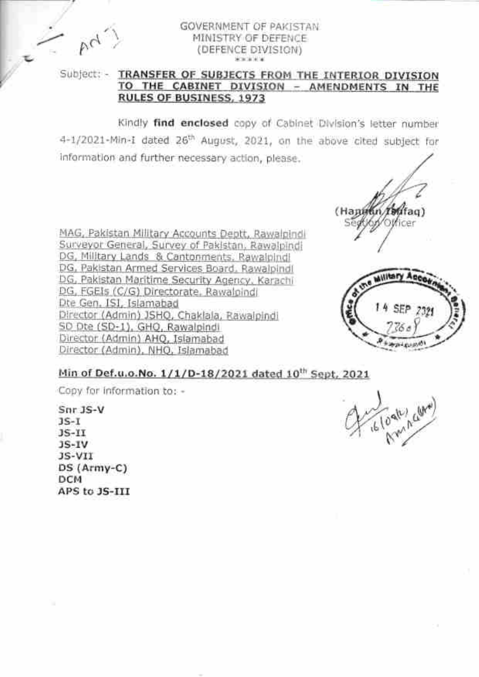$R_{\rm cl}$ 

#### GOVERNMENT OF PAKISTAN MINISTRY OF DEFENCE (DEFENCE DIVISION) **HORDA MIN**

## Subject: - IRANSFER OF SUBJECTS FROM THE INTERIOR DIVISION TO THE CABINET DIVISION - AMENDMENTS IN THE **RULES OF BUSINESS, 1973**

Kindly find enclosed copy of Cabinet Division's letter number 4-1/2021-Min-1 dated 26<sup>th</sup> August, 2021, on the above cited subject for information and further necessary action, please.

MAG, Pakistan Military Accounts Deptt, Rawalpindi Surveyor General, Survey of Pakistan, Rawalpindi DG, Military Lands & Cantonments, Rawalpindi DG, Pakistan Armed Services Board, Rawalpindl DG, Pakistan Maritime Security Agency, Karachi DG, FGEIs (C/G) Directorate, Rawalpindi Dte Gen, ISI, Islamabad Director (Admin) JSHQ, Chaklala, Rawalpindi SD Dte (SD-1), GHO, Rawalpindi Director (Admin) AHQ, Islamabad Director (Admin), NHQ, Islamabad

(Hant fag)



## Min of Def.u.o.No. 1/1/D-18/2021 dated 10th Sept. 2021

Copy for information to: -

Snr JS-V  $3S-T$  $JS-II$  $JS-IV$ JS-VII DS (Army-C) DCM APS to JS-III

16/09/11/26/14